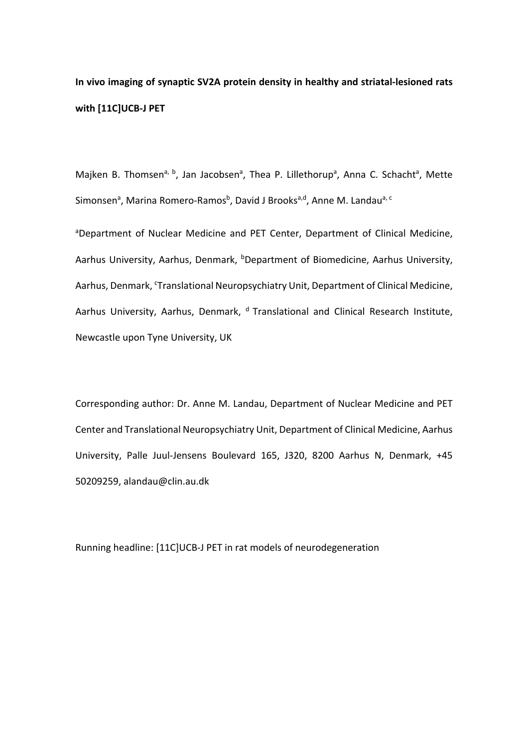**In vivo imaging of synaptic SV2A protein density in healthy and striatal-lesioned rats with [11C]UCB-J PET** 

Majken B. Thomsen<sup>a, b</sup>, Jan Jacobsen<sup>a</sup>, Thea P. Lillethorup<sup>a</sup>, Anna C. Schacht<sup>a</sup>, Mette Simonsen<sup>a</sup>, Marina Romero-Ramos<sup>b</sup>, David J Brooks<sup>a,d</sup>, Anne M. Landau<sup>a, c</sup>

<sup>a</sup>Department of Nuclear Medicine and PET Center, Department of Clinical Medicine, Aarhus University, Aarhus, Denmark, <sup>b</sup>Department of Biomedicine, Aarhus University, Aarhus, Denmark, 'Translational Neuropsychiatry Unit, Department of Clinical Medicine, Aarhus University, Aarhus, Denmark, <sup>d</sup> Translational and Clinical Research Institute, Newcastle upon Tyne University, UK

Corresponding author: Dr. Anne M. Landau, Department of Nuclear Medicine and PET Center and Translational Neuropsychiatry Unit, Department of Clinical Medicine, Aarhus University, Palle Juul-Jensens Boulevard 165, J320, 8200 Aarhus N, Denmark, +45 50209259, alandau@clin.au.dk

Running headline: [11C]UCB-J PET in rat models of neurodegeneration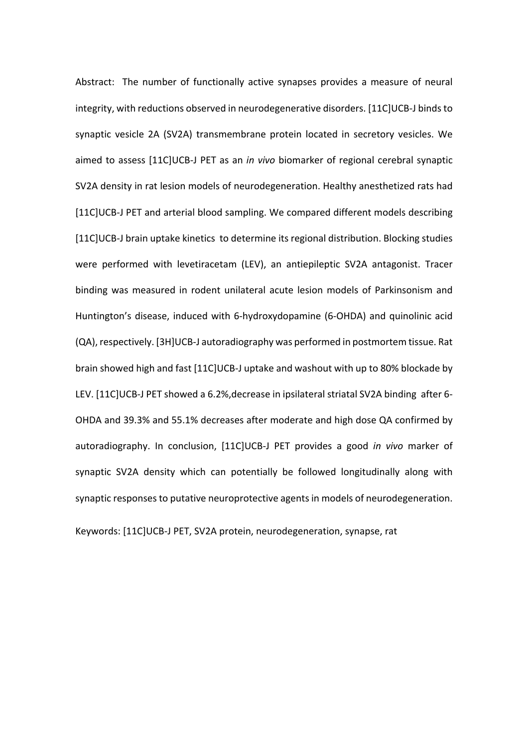Abstract: The number of functionally active synapses provides a measure of neural integrity, with reductions observed in neurodegenerative disorders. [11C]UCB-J binds to synaptic vesicle 2A (SV2A) transmembrane protein located in secretory vesicles. We aimed to assess [11C]UCB-J PET as an *in vivo* biomarker of regional cerebral synaptic SV2A density in rat lesion models of neurodegeneration. Healthy anesthetized rats had [11C]UCB-J PET and arterial blood sampling. We compared different models describing [11C]UCB-J brain uptake kinetics to determine its regional distribution. Blocking studies were performed with levetiracetam (LEV), an antiepileptic SV2A antagonist. Tracer binding was measured in rodent unilateral acute lesion models of Parkinsonism and Huntington's disease, induced with 6-hydroxydopamine (6-OHDA) and quinolinic acid (QA), respectively. [3H]UCB-J autoradiography was performed in postmortem tissue. Rat brain showed high and fast [11C]UCB-J uptake and washout with up to 80% blockade by LEV. [11C]UCB-J PET showed a 6.2%, decrease in ipsilateral striatal SV2A binding after 6-OHDA and 39.3% and 55.1% decreases after moderate and high dose QA confirmed by autoradiography. In conclusion, [11C]UCB-J PET provides a good *in vivo* marker of synaptic SV2A density which can potentially be followed longitudinally along with synaptic responses to putative neuroprotective agents in models of neurodegeneration.

Keywords: [11C]UCB-J PET, SV2A protein, neurodegeneration, synapse, rat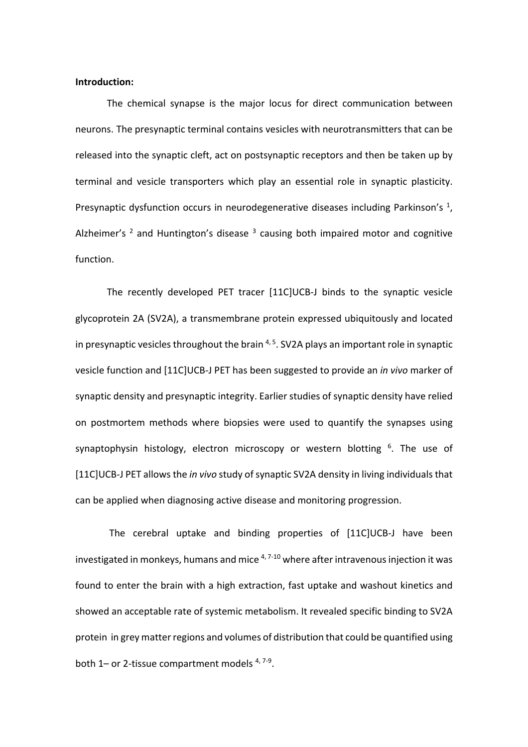### **Introduction:**

The chemical synapse is the major locus for direct communication between neurons. The presynaptic terminal contains vesicles with neurotransmitters that can be released into the synaptic cleft, act on postsynaptic receptors and then be taken up by terminal and vesicle transporters which play an essential role in synaptic plasticity. Presynaptic dysfunction occurs in neurodegenerative diseases including Parkinson's  $<sup>1</sup>$ ,</sup> Alzheimer's  $2$  and Huntington's disease  $3$  causing both impaired motor and cognitive function.

The recently developed PET tracer [11C]UCB-J binds to the synaptic vesicle glycoprotein 2A (SV2A), a transmembrane protein expressed ubiquitously and located in presynaptic vesicles throughout the brain <sup>4, 5</sup>. SV2A plays an important role in synaptic vesicle function and [11C]UCB-J PET has been suggested to provide an *in vivo* marker of synaptic density and presynaptic integrity. Earlier studies of synaptic density have relied on postmortem methods where biopsies were used to quantify the synapses using synaptophysin histology, electron microscopy or western blotting <sup>6</sup>. The use of [11C]UCB-J PET allows the *in vivo* study of synaptic SV2A density in living individuals that can be applied when diagnosing active disease and monitoring progression.

The cerebral uptake and binding properties of [11C]UCB-J have been investigated in monkeys, humans and mice  $4,7-10$  where after intravenous injection it was found to enter the brain with a high extraction, fast uptake and washout kinetics and showed an acceptable rate of systemic metabolism. It revealed specific binding to SV2A protein in grey matter regions and volumes of distribution that could be quantified using both 1– or 2-tissue compartment models <sup>4, 7-9</sup>.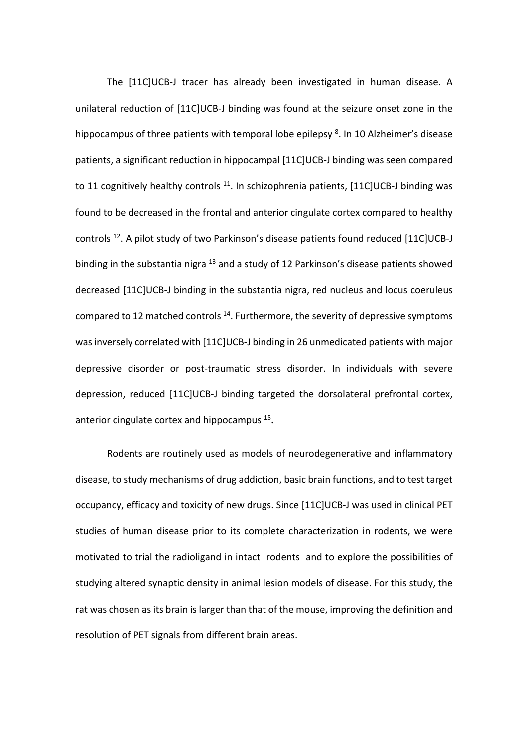The [11C]UCB-J tracer has already been investigated in human disease. A unilateral reduction of [11C]UCB-J binding was found at the seizure onset zone in the hippocampus of three patients with temporal lobe epilepsy<sup>8</sup>. In 10 Alzheimer's disease patients, a significant reduction in hippocampal [11C]UCB-J binding was seen compared to 11 cognitively healthy controls  $11$ . In schizophrenia patients, [11C]UCB-J binding was found to be decreased in the frontal and anterior cingulate cortex compared to healthy controls  $^{12}$ . A pilot study of two Parkinson's disease patients found reduced [11C]UCB-J binding in the substantia nigra  $^{13}$  and a study of 12 Parkinson's disease patients showed decreased [11C]UCB-J binding in the substantia nigra, red nucleus and locus coeruleus compared to 12 matched controls  $^{14}$ . Furthermore, the severity of depressive symptoms was inversely correlated with [11C]UCB-J binding in 26 unmedicated patients with major depressive disorder or post-traumatic stress disorder. In individuals with severe depression, reduced [11C]UCB-J binding targeted the dorsolateral prefrontal cortex, anterior cingulate cortex and hippocampus 15**.**

Rodents are routinely used as models of neurodegenerative and inflammatory disease, to study mechanisms of drug addiction, basic brain functions, and to test target occupancy, efficacy and toxicity of new drugs. Since [11C]UCB-J was used in clinical PET studies of human disease prior to its complete characterization in rodents, we were motivated to trial the radioligand in intact rodents and to explore the possibilities of studying altered synaptic density in animal lesion models of disease. For this study, the rat was chosen as its brain is larger than that of the mouse, improving the definition and resolution of PET signals from different brain areas.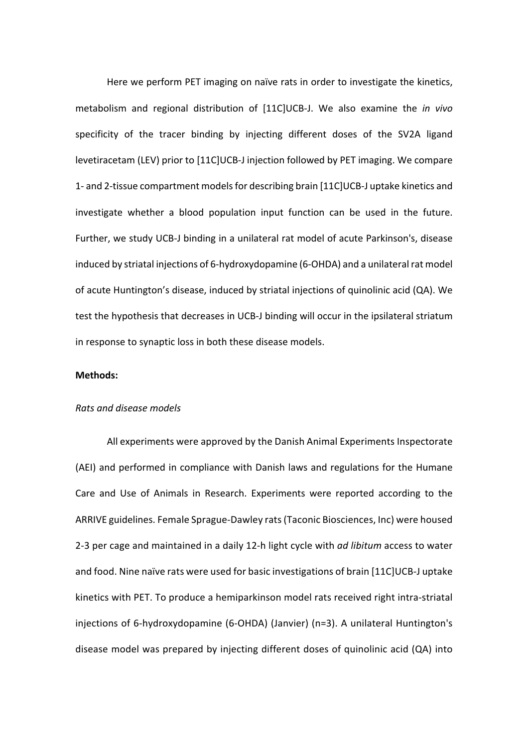Here we perform PET imaging on naïve rats in order to investigate the kinetics, metabolism and regional distribution of [11C]UCB-J. We also examine the *in vivo* specificity of the tracer binding by injecting different doses of the SV2A ligand levetiracetam (LEV) prior to [11C]UCB-J injection followed by PET imaging. We compare 1- and 2-tissue compartment models for describing brain [11C]UCB-J uptake kinetics and investigate whether a blood population input function can be used in the future. Further, we study UCB-J binding in a unilateral rat model of acute Parkinson's, disease induced by striatal injections of 6-hydroxydopamine (6-OHDA) and a unilateral rat model of acute Huntington's disease, induced by striatal injections of quinolinic acid (QA). We test the hypothesis that decreases in UCB-J binding will occur in the ipsilateral striatum in response to synaptic loss in both these disease models.

## **Methods:**

#### *Rats and disease models*

All experiments were approved by the Danish Animal Experiments Inspectorate (AEI) and performed in compliance with Danish laws and regulations for the Humane Care and Use of Animals in Research. Experiments were reported according to the ARRIVE guidelines. Female Sprague-Dawley rats (Taconic Biosciences, Inc) were housed 2-3 per cage and maintained in a daily 12-h light cycle with *ad libitum* access to water and food. Nine naïve rats were used for basic investigations of brain [11C]UCB-J uptake kinetics with PET. To produce a hemiparkinson model rats received right intra-striatal injections of 6-hydroxydopamine (6-OHDA) (Janvier) (n=3). A unilateral Huntington's disease model was prepared by injecting different doses of quinolinic acid (QA) into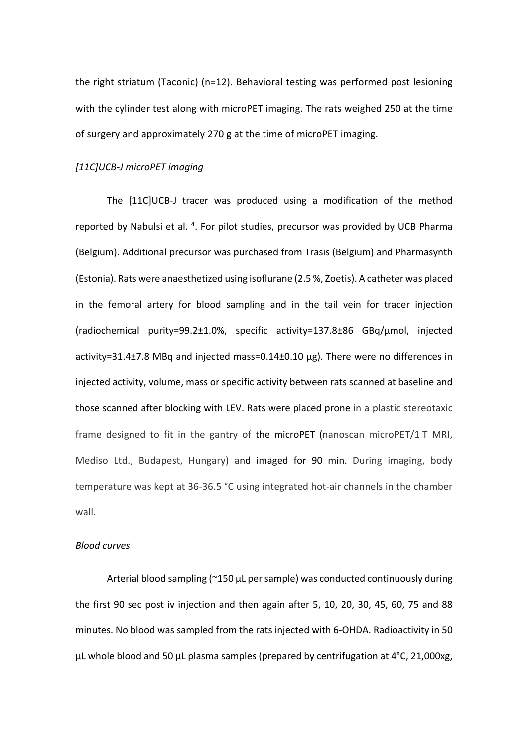the right striatum (Taconic) (n=12). Behavioral testing was performed post lesioning with the cylinder test along with microPET imaging. The rats weighed 250 at the time of surgery and approximately 270 g at the time of microPET imaging.

### *[11C]UCB-J microPET imaging*

The [11C]UCB-J tracer was produced using a modification of the method reported by Nabulsi et al.<sup>4</sup>. For pilot studies, precursor was provided by UCB Pharma (Belgium). Additional precursor was purchased from Trasis (Belgium) and Pharmasynth (Estonia). Rats were anaesthetized using isoflurane (2.5 %, Zoetis). A catheter was placed in the femoral artery for blood sampling and in the tail vein for tracer injection (radiochemical purity=99.2±1.0%, specific activity=137.8±86 GBq/µmol, injected activity=31.4±7.8 MBq and injected mass=0.14±0.10 µg). There were no differences in injected activity, volume, mass or specific activity between rats scanned at baseline and those scanned after blocking with LEV. Rats were placed prone in a plastic stereotaxic frame designed to fit in the gantry of the microPET (nanoscan microPET/1 T MRI, Mediso Ltd., Budapest, Hungary) and imaged for 90 min. During imaging, body temperature was kept at 36-36.5 °C using integrated hot-air channels in the chamber wall.

## *Blood curves*

Arterial blood sampling (~150 µL per sample) was conducted continuously during the first 90 sec post iv injection and then again after 5, 10, 20, 30, 45, 60, 75 and 88 minutes. No blood was sampled from the rats injected with 6-OHDA. Radioactivity in 50 µL whole blood and 50 µL plasma samples (prepared by centrifugation at 4°C, 21,000xg,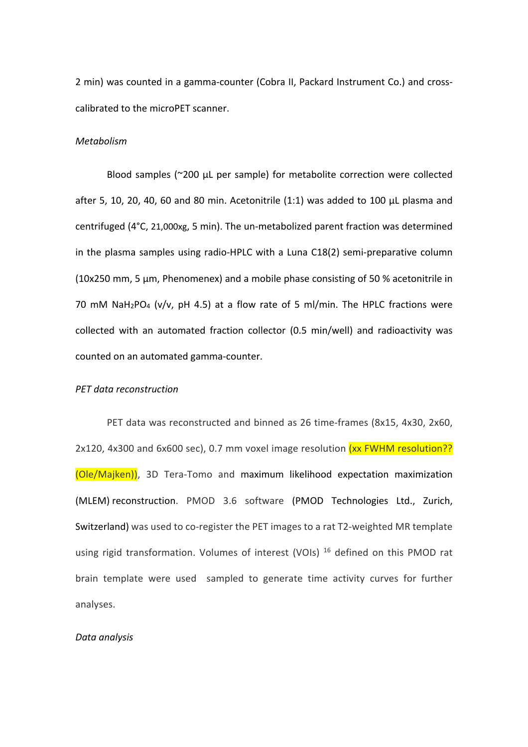2 min) was counted in a gamma-counter (Cobra II, Packard Instrument Co.) and crosscalibrated to the microPET scanner.

## *Metabolism*

Blood samples (~200 µL per sample) for metabolite correction were collected after 5, 10, 20, 40, 60 and 80 min. Acetonitrile (1:1) was added to 100 µL plasma and centrifuged (4°C, 21,000xg, 5 min). The un-metabolized parent fraction was determined in the plasma samples using radio-HPLC with a Luna C18(2) semi-preparative column (10x250 mm, 5 µm, Phenomenex) and a mobile phase consisting of 50 % acetonitrile in 70 mM NaH<sub>2</sub>PO<sub>4</sub> (v/v, pH 4.5) at a flow rate of 5 ml/min. The HPLC fractions were collected with an automated fraction collector (0.5 min/well) and radioactivity was counted on an automated gamma-counter.

### *PET data reconstruction*

PET data was reconstructed and binned as 26 time-frames (8x15, 4x30, 2x60, 2x120, 4x300 and 6x600 sec), 0.7 mm voxel image resolution (xx FWHM resolution?? (Ole/Majken)), 3D Tera-Tomo and maximum likelihood expectation maximization (MLEM) reconstruction. PMOD 3.6 software (PMOD Technologies Ltd., Zurich, Switzerland) was used to co-register the PET images to a rat T2-weighted MR template using rigid transformation. Volumes of interest (VOIs)<sup>16</sup> defined on this PMOD rat brain template were used sampled to generate time activity curves for further analyses.

### *Data analysis*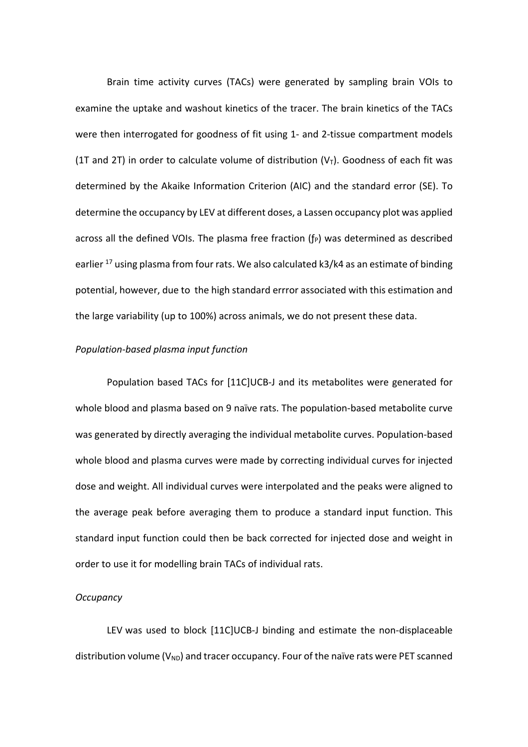Brain time activity curves (TACs) were generated by sampling brain VOIs to examine the uptake and washout kinetics of the tracer. The brain kinetics of the TACs were then interrogated for goodness of fit using 1- and 2-tissue compartment models (1T and 2T) in order to calculate volume of distribution  $(V<sub>T</sub>)$ . Goodness of each fit was determined by the Akaike Information Criterion (AIC) and the standard error (SE). To determine the occupancy by LEV at different doses, a Lassen occupancy plot was applied across all the defined VOIs. The plasma free fraction  $(f_P)$  was determined as described earlier  $^{17}$  using plasma from four rats. We also calculated k3/k4 as an estimate of binding potential, however, due to the high standard errror associated with this estimation and the large variability (up to 100%) across animals, we do not present these data.

## *Population-based plasma input function*

Population based TACs for [11C]UCB-J and its metabolites were generated for whole blood and plasma based on 9 naïve rats. The population-based metabolite curve was generated by directly averaging the individual metabolite curves. Population-based whole blood and plasma curves were made by correcting individual curves for injected dose and weight. All individual curves were interpolated and the peaks were aligned to the average peak before averaging them to produce a standard input function. This standard input function could then be back corrected for injected dose and weight in order to use it for modelling brain TACs of individual rats.

## *Occupancy*

LEV was used to block [11C]UCB-J binding and estimate the non-displaceable distribution volume ( $V_{ND}$ ) and tracer occupancy. Four of the naïve rats were PET scanned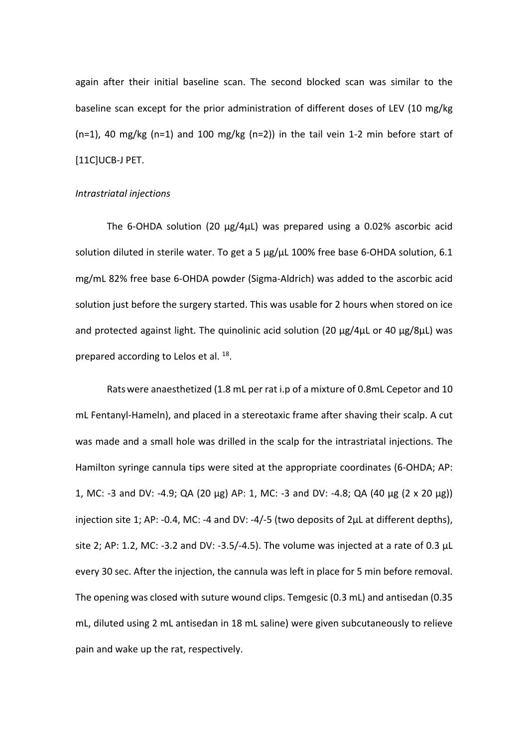again after their initial baseline scan. The second blocked scan was similar to the baseline scan except for the prior administration of different doses of LEV (10 mg/kg  $(n=1)$ , 40 mg/kg  $(n=1)$  and 100 mg/kg  $(n=2)$ ) in the tail vein 1-2 min before start of [11C]UCB-J PET.

### *Intrastriatal injections*

The 6-OHDA solution (20  $\mu$ g/4 $\mu$ L) was prepared using a 0.02% ascorbic acid solution diluted in sterile water. To get a 5  $\mu$ g/ $\mu$ L 100% free base 6-OHDA solution, 6.1 mg/mL 82% free base 6-OHDA powder (Sigma-Aldrich) was added to the ascorbic acid solution just before the surgery started. This was usable for 2 hours when stored on ice and protected against light. The quinolinic acid solution (20  $\mu$ g/4 $\mu$ L or 40  $\mu$ g/8 $\mu$ L) was prepared according to Lelos et al. <sup>18</sup>.

Ratswere anaesthetized (1.8 mL per rat i.p of a mixture of 0.8mL Cepetor and 10 mL Fentanyl-Hameln), and placed in a stereotaxic frame after shaving their scalp. A cut was made and a small hole was drilled in the scalp for the intrastriatal injections. The Hamilton syringe cannula tips were sited at the appropriate coordinates (6-OHDA; AP: 1, MC: -3 and DV: -4.9; QA (20 µg) AP: 1, MC: -3 and DV: -4.8; QA (40 µg (2 x 20 µg)) injection site 1; AP: -0.4, MC: -4 and DV: -4/-5 (two deposits of 2µL at different depths), site 2; AP: 1.2, MC: -3.2 and DV: -3.5/-4.5). The volume was injected at a rate of 0.3  $\mu$ L every 30 sec. After the injection, the cannula was left in place for 5 min before removal. The opening was closed with suture wound clips. Temgesic (0.3 mL) and antisedan (0.35 mL, diluted using 2 mL antisedan in 18 mL saline) were given subcutaneously to relieve pain and wake up the rat, respectively.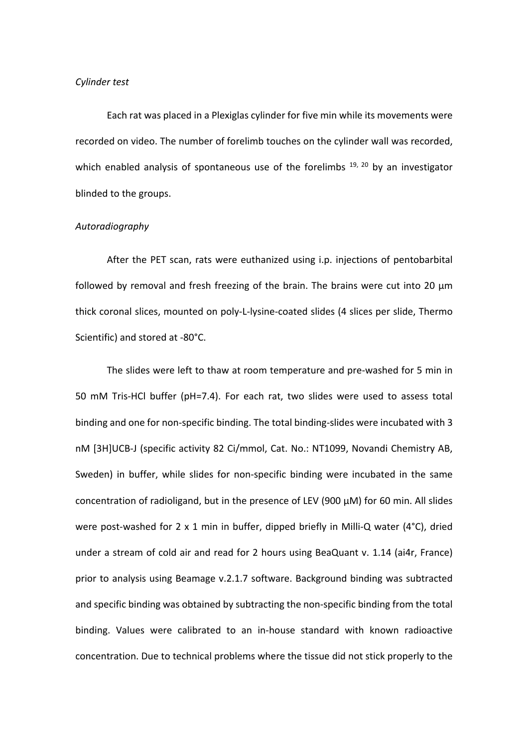## *Cylinder test*

Each rat was placed in a Plexiglas cylinder for five min while its movements were recorded on video. The number of forelimb touches on the cylinder wall was recorded, which enabled analysis of spontaneous use of the forelimbs  $19, 20$  by an investigator blinded to the groups.

### *Autoradiography*

After the PET scan, rats were euthanized using i.p. injections of pentobarbital followed by removal and fresh freezing of the brain. The brains were cut into 20 µm thick coronal slices, mounted on poly-L-lysine-coated slides (4 slices per slide, Thermo Scientific) and stored at -80°C.

The slides were left to thaw at room temperature and pre-washed for 5 min in 50 mM Tris-HCl buffer (pH=7.4). For each rat, two slides were used to assess total binding and one for non-specific binding. The total binding-slides were incubated with 3 nM [3H]UCB-J (specific activity 82 Ci/mmol, Cat. No.: NT1099, Novandi Chemistry AB, Sweden) in buffer, while slides for non-specific binding were incubated in the same concentration of radioligand, but in the presence of LEV (900 µM) for 60 min. All slides were post-washed for 2 x 1 min in buffer, dipped briefly in Milli-Q water (4°C), dried under a stream of cold air and read for 2 hours using BeaQuant v. 1.14 (ai4r, France) prior to analysis using Beamage v.2.1.7 software. Background binding was subtracted and specific binding was obtained by subtracting the non-specific binding from the total binding. Values were calibrated to an in-house standard with known radioactive concentration. Due to technical problems where the tissue did not stick properly to the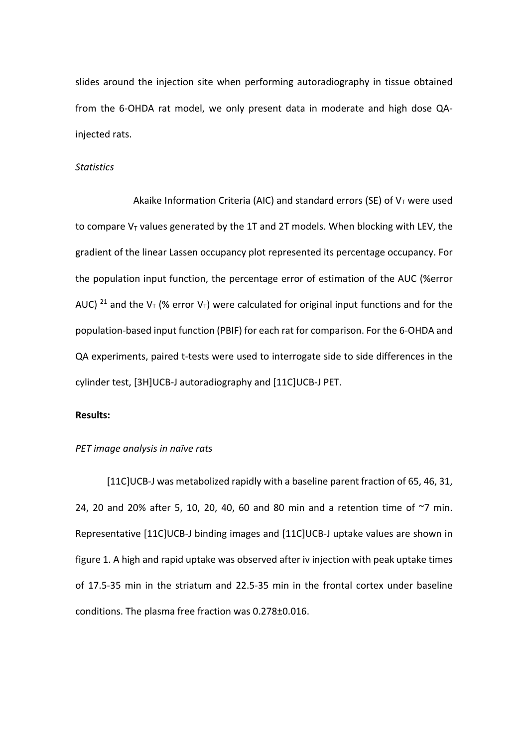slides around the injection site when performing autoradiography in tissue obtained from the 6-OHDA rat model, we only present data in moderate and high dose QAinjected rats.

## *Statistics*

Akaike Information Criteria (AIC) and standard errors (SE) of  $V<sub>T</sub>$  were used to compare  $V<sub>T</sub>$  values generated by the 1T and 2T models. When blocking with LEV, the gradient of the linear Lassen occupancy plot represented its percentage occupancy. For the population input function, the percentage error of estimation of the AUC (%error AUC) <sup>21</sup> and the V<sub>T</sub> (% error V<sub>T</sub>) were calculated for original input functions and for the population-based input function (PBIF) for each rat for comparison. For the 6-OHDA and QA experiments, paired t-tests were used to interrogate side to side differences in the cylinder test, [3H]UCB-J autoradiography and [11C]UCB-J PET.

## **Results:**

#### *PET image analysis in naïve rats*

[11C]UCB-J was metabolized rapidly with a baseline parent fraction of 65, 46, 31, 24, 20 and 20% after 5, 10, 20, 40, 60 and 80 min and a retention time of  $\sim$ 7 min. Representative [11C]UCB-J binding images and [11C]UCB-J uptake values are shown in figure 1. A high and rapid uptake was observed after iv injection with peak uptake times of 17.5-35 min in the striatum and 22.5-35 min in the frontal cortex under baseline conditions. The plasma free fraction was 0.278±0.016.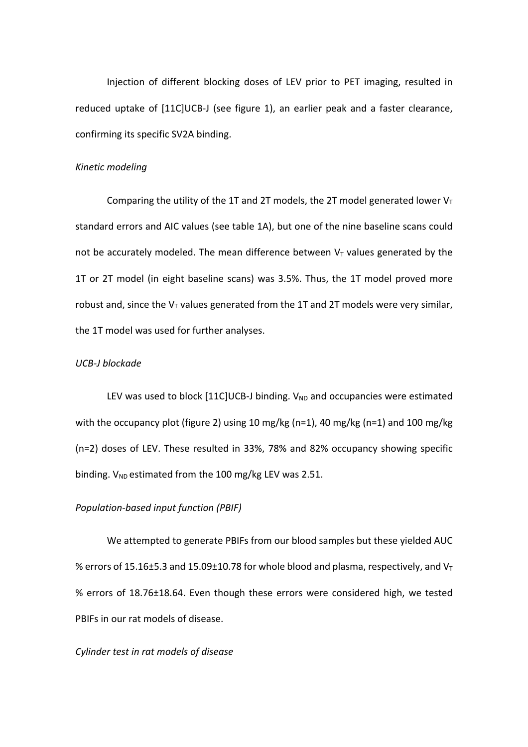Injection of different blocking doses of LEV prior to PET imaging, resulted in reduced uptake of [11C]UCB-J (see figure 1), an earlier peak and a faster clearance, confirming its specific SV2A binding.

#### *Kinetic modeling*

Comparing the utility of the 1T and 2T models, the 2T model generated lower  $V_T$ standard errors and AIC values (see table 1A), but one of the nine baseline scans could not be accurately modeled. The mean difference between  $V<sub>T</sub>$  values generated by the 1T or 2T model (in eight baseline scans) was 3.5%. Thus, the 1T model proved more robust and, since the  $V<sub>T</sub>$  values generated from the 1T and 2T models were very similar, the 1T model was used for further analyses.

## *UCB-J blockade*

LEV was used to block  $[11C]UCB-J$  binding.  $V_{ND}$  and occupancies were estimated with the occupancy plot (figure 2) using 10 mg/kg (n=1), 40 mg/kg (n=1) and 100 mg/kg (n=2) doses of LEV. These resulted in 33%, 78% and 82% occupancy showing specific binding.  $V_{ND}$  estimated from the 100 mg/kg LEV was 2.51.

#### *Population-based input function (PBIF)*

We attempted to generate PBIFs from our blood samples but these yielded AUC % errors of 15.16±5.3 and 15.09±10.78 for whole blood and plasma, respectively, and  $V_T$ % errors of 18.76±18.64. Even though these errors were considered high, we tested PBIFs in our rat models of disease.

### *Cylinder test in rat models of disease*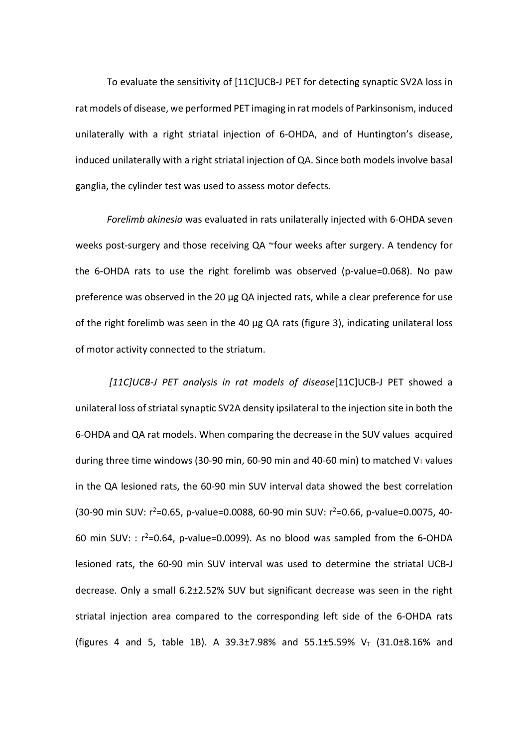To evaluate the sensitivity of [11C]UCB-J PET for detecting synaptic SV2A loss in rat models of disease, we performed PET imaging in rat models of Parkinsonism, induced unilaterally with a right striatal injection of 6-OHDA, and of Huntington's disease, induced unilaterally with a right striatal injection of QA. Since both models involve basal ganglia, the cylinder test was used to assess motor defects.

*Forelimb akinesia* was evaluated in rats unilaterally injected with 6-OHDA seven weeks post-surgery and those receiving QA ~four weeks after surgery. A tendency for the 6-OHDA rats to use the right forelimb was observed (p-value=0.068). No paw preference was observed in the 20 µg QA injected rats, while a clear preference for use of the right forelimb was seen in the 40  $\mu$ g QA rats (figure 3), indicating unilateral loss of motor activity connected to the striatum.

*[11C]UCB-J PET analysis in rat models of disease*[11C]UCB-J PET showed a unilateral loss of striatal synaptic SV2A density ipsilateral to the injection site in both the 6-OHDA and QA rat models. When comparing the decrease in the SUV values acquired during three time windows (30-90 min, 60-90 min and 40-60 min) to matched  $V<sub>T</sub>$  values in the QA lesioned rats, the 60-90 min SUV interval data showed the best correlation (30-90 min SUV: r<sup>2</sup>=0.65, p-value=0.0088, 60-90 min SUV: r<sup>2</sup>=0.66, p-value=0.0075, 40-60 min SUV: :  $r^2$ =0.64, p-value=0.0099). As no blood was sampled from the 6-OHDA lesioned rats, the 60-90 min SUV interval was used to determine the striatal UCB-J decrease. Only a small 6.2±2.52% SUV but significant decrease was seen in the right striatal injection area compared to the corresponding left side of the 6-OHDA rats (figures 4 and 5, table 1B). A 39.3±7.98% and 55.1±5.59%  $V_T$  (31.0±8.16% and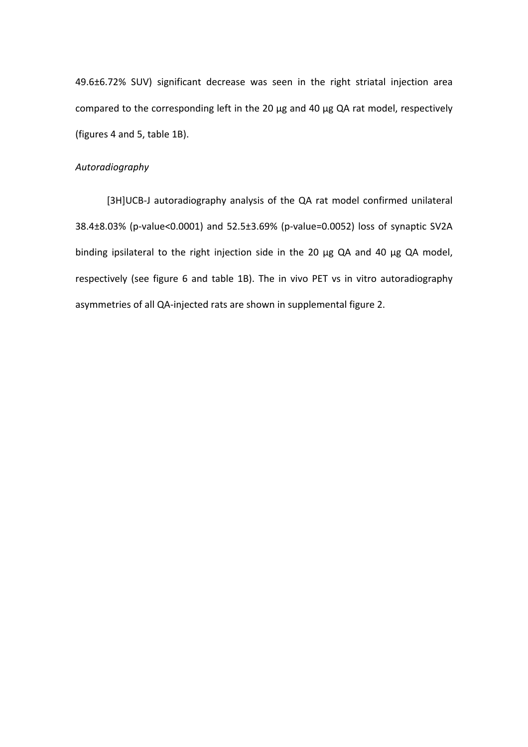49.6±6.72% SUV) significant decrease was seen in the right striatal injection area compared to the corresponding left in the 20 µg and 40 µg QA rat model, respectively (figures 4 and 5, table 1B).

## *Autoradiography*

[3H]UCB-J autoradiography analysis of the QA rat model confirmed unilateral 38.4±8.03% (p-value<0.0001) and 52.5±3.69% (p-value=0.0052) loss of synaptic SV2A binding ipsilateral to the right injection side in the 20 µg QA and 40 µg QA model, respectively (see figure 6 and table 1B). The in vivo PET vs in vitro autoradiography asymmetries of all QA-injected rats are shown in supplemental figure 2.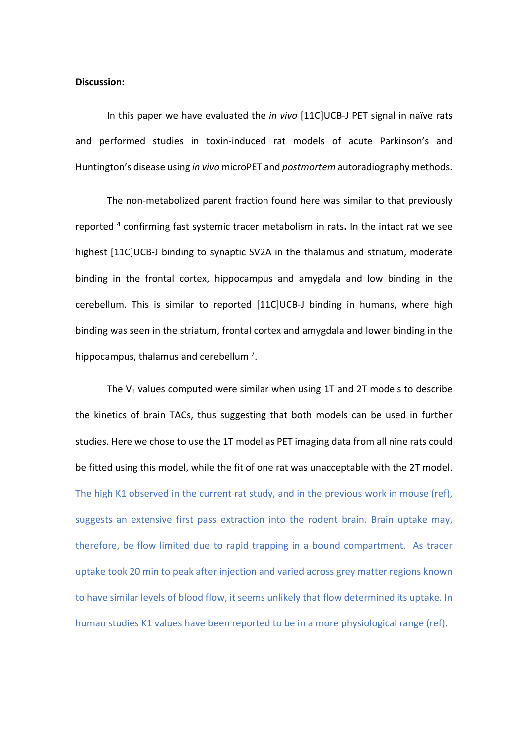### **Discussion:**

In this paper we have evaluated the *in vivo* [11C]UCB-J PET signal in naïve rats and performed studies in toxin-induced rat models of acute Parkinson's and Huntington's disease using *in vivo* microPET and *postmortem* autoradiography methods.

The non-metabolized parent fraction found here was similar to that previously reported 4 confirming fast systemic tracer metabolism in rats**.** In the intact rat we see highest [11C]UCB-J binding to synaptic SV2A in the thalamus and striatum, moderate binding in the frontal cortex, hippocampus and amygdala and low binding in the cerebellum. This is similar to reported [11C]UCB-J binding in humans, where high binding was seen in the striatum, frontal cortex and amygdala and lower binding in the hippocampus, thalamus and cerebellum<sup>7</sup>.

The  $V<sub>T</sub>$  values computed were similar when using 1T and 2T models to describe the kinetics of brain TACs, thus suggesting that both models can be used in further studies. Here we chose to use the 1T model as PET imaging data from all nine rats could be fitted using this model, while the fit of one rat was unacceptable with the 2T model. The high K1 observed in the current rat study, and in the previous work in mouse (ref), suggests an extensive first pass extraction into the rodent brain. Brain uptake may, therefore, be flow limited due to rapid trapping in a bound compartment. As tracer uptake took 20 min to peak after injection and varied across grey matter regions known to have similar levels of blood flow, it seems unlikely that flow determined its uptake. In human studies K1 values have been reported to be in a more physiological range (ref).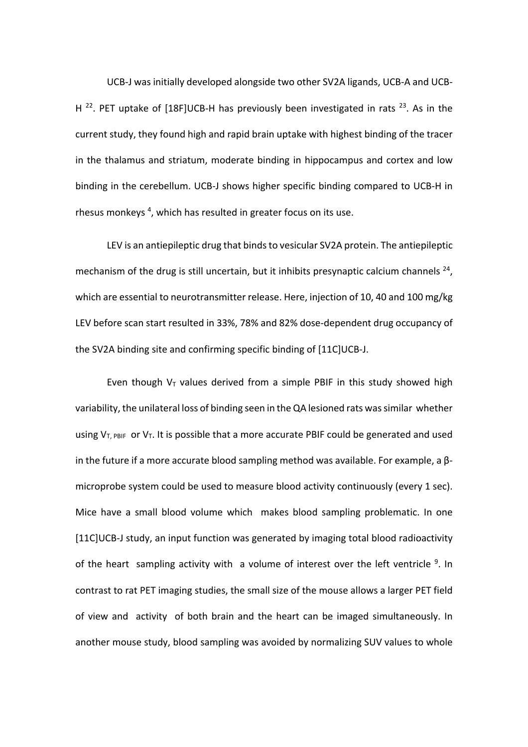UCB-J was initially developed alongside two other SV2A ligands, UCB-A and UCB-H <sup>22</sup>. PET uptake of [18F]UCB-H has previously been investigated in rats <sup>23</sup>. As in the current study, they found high and rapid brain uptake with highest binding of the tracer in the thalamus and striatum, moderate binding in hippocampus and cortex and low binding in the cerebellum. UCB-J shows higher specific binding compared to UCB-H in rhesus monkeys<sup>4</sup>, which has resulted in greater focus on its use.

LEV is an antiepileptic drug that binds to vesicular SV2A protein. The antiepileptic mechanism of the drug is still uncertain, but it inhibits presynaptic calcium channels  $^{24}$ , which are essential to neurotransmitter release. Here, injection of 10, 40 and 100 mg/kg LEV before scan start resulted in 33%, 78% and 82% dose-dependent drug occupancy of the SV2A binding site and confirming specific binding of [11C]UCB-J.

Even though  $V_T$  values derived from a simple PBIF in this study showed high variability, the unilateral loss of binding seen in the QA lesioned rats was similar whether using  $V_{T, PBIF}$  or  $V_T$ . It is possible that a more accurate PBIF could be generated and used in the future if a more accurate blood sampling method was available. For example, a βmicroprobe system could be used to measure blood activity continuously (every 1 sec). Mice have a small blood volume which makes blood sampling problematic. In one [11C]UCB-J study, an input function was generated by imaging total blood radioactivity of the heart sampling activity with a volume of interest over the left ventricle  $9$ . In contrast to rat PET imaging studies, the small size of the mouse allows a larger PET field of view and activity of both brain and the heart can be imaged simultaneously. In another mouse study, blood sampling was avoided by normalizing SUV values to whole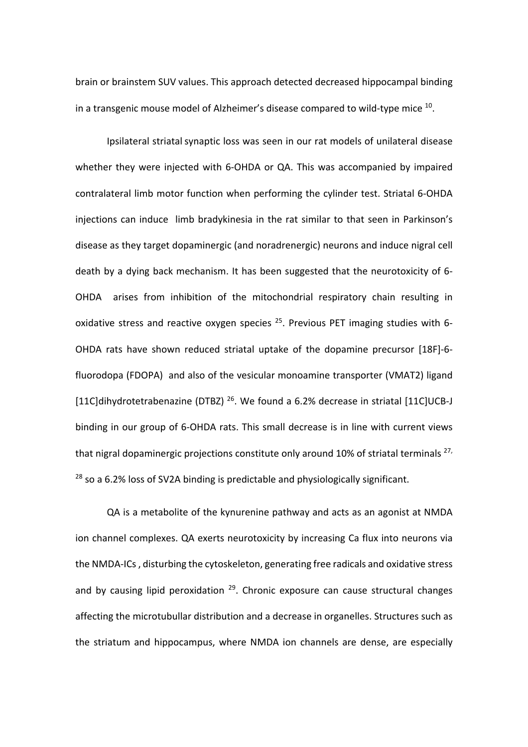brain or brainstem SUV values. This approach detected decreased hippocampal binding in a transgenic mouse model of Alzheimer's disease compared to wild-type mice 10.

Ipsilateral striatal synaptic loss was seen in our rat models of unilateral disease whether they were injected with 6-OHDA or QA. This was accompanied by impaired contralateral limb motor function when performing the cylinder test. Striatal 6-OHDA injections can induce limb bradykinesia in the rat similar to that seen in Parkinson's disease as they target dopaminergic (and noradrenergic) neurons and induce nigral cell death by a dying back mechanism. It has been suggested that the neurotoxicity of 6- OHDA arises from inhibition of the mitochondrial respiratory chain resulting in oxidative stress and reactive oxygen species  $25$ . Previous PET imaging studies with 6-OHDA rats have shown reduced striatal uptake of the dopamine precursor [18F]-6 fluorodopa (FDOPA) and also of the vesicular monoamine transporter (VMAT2) ligand [11C]dihydrotetrabenazine (DTBZ)<sup>26</sup>. We found a 6.2% decrease in striatal [11C]UCB-J binding in our group of 6-OHDA rats. This small decrease is in line with current views that nigral dopaminergic projections constitute only around 10% of striatal terminals  $^{27}$ , <sup>28</sup> so a 6.2% loss of SV2A binding is predictable and physiologically significant.

QA is a metabolite of the kynurenine pathway and acts as an agonist at NMDA ion channel complexes. QA exerts neurotoxicity by increasing Ca flux into neurons via the NMDA-ICs , disturbing the cytoskeleton, generating free radicals and oxidative stress and by causing lipid peroxidation  $29$ . Chronic exposure can cause structural changes affecting the microtubullar distribution and a decrease in organelles. Structures such as the striatum and hippocampus, where NMDA ion channels are dense, are especially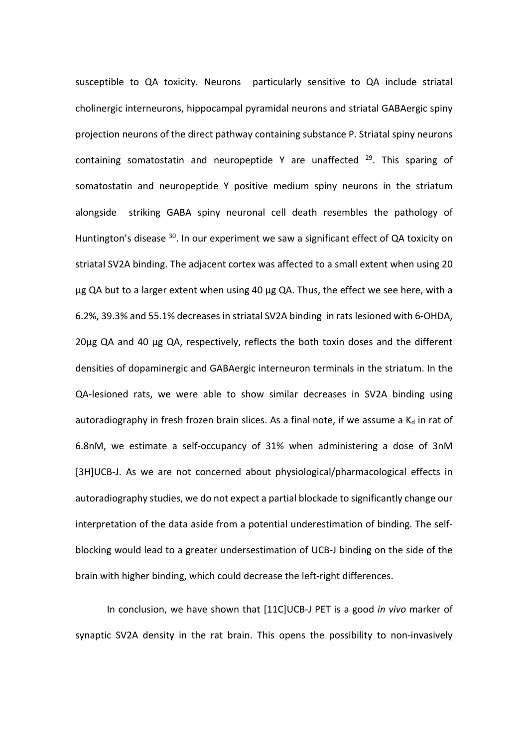susceptible to QA toxicity. Neurons particularly sensitive to QA include striatal cholinergic interneurons, hippocampal pyramidal neurons and striatal GABAergic spiny projection neurons of the direct pathway containing substance P. Striatal spiny neurons containing somatostatin and neuropeptide Y are unaffected  $29$ . This sparing of somatostatin and neuropeptide Y positive medium spiny neurons in the striatum alongside striking GABA spiny neuronal cell death resembles the pathology of Huntington's disease <sup>30</sup>. In our experiment we saw a significant effect of QA toxicity on striatal SV2A binding. The adjacent cortex was affected to a small extent when using 20 µg QA but to a larger extent when using 40 µg QA. Thus, the effect we see here, with a 6.2%, 39.3% and 55.1% decreases in striatal SV2A binding in rats lesioned with 6-OHDA, 20µg QA and 40 µg QA, respectively, reflects the both toxin doses and the different densities of dopaminergic and GABAergic interneuron terminals in the striatum. In the QA-lesioned rats, we were able to show similar decreases in SV2A binding using autoradiography in fresh frozen brain slices. As a final note, if we assume a  $K_d$  in rat of 6.8nM, we estimate a self-occupancy of 31% when administering a dose of 3nM [3H]UCB-J. As we are not concerned about physiological/pharmacological effects in autoradiography studies, we do not expect a partial blockade to significantly change our interpretation of the data aside from a potential underestimation of binding. The selfblocking would lead to a greater undersestimation of UCB-J binding on the side of the brain with higher binding, which could decrease the left-right differences.

In conclusion, we have shown that [11C]UCB-J PET is a good *in vivo* marker of synaptic SV2A density in the rat brain. This opens the possibility to non-invasively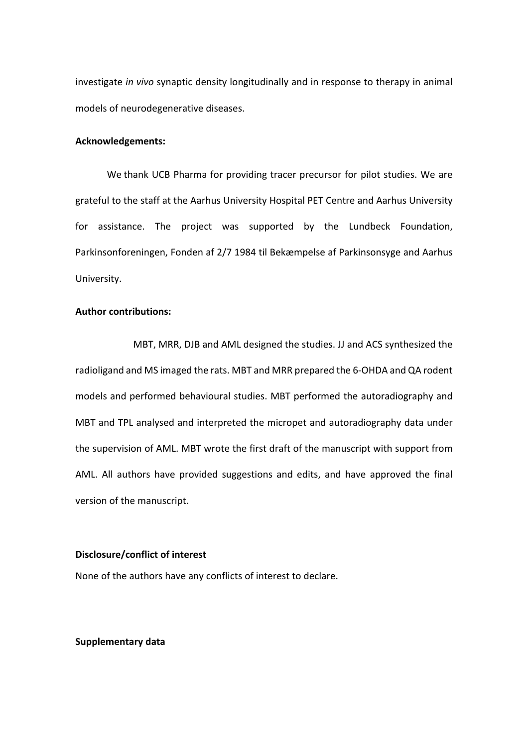investigate *in vivo* synaptic density longitudinally and in response to therapy in animal models of neurodegenerative diseases.

## **Acknowledgements:**

We thank UCB Pharma for providing tracer precursor for pilot studies. We are grateful to the staff at the Aarhus University Hospital PET Centre and Aarhus University for assistance. The project was supported by the Lundbeck Foundation, Parkinsonforeningen, Fonden af 2/7 1984 til Bekæmpelse af Parkinsonsyge and Aarhus University.

# **Author contributions:**

MBT, MRR, DJB and AML designed the studies. JJ and ACS synthesized the radioligand and MS imaged the rats. MBT and MRR prepared the 6-OHDA and QA rodent models and performed behavioural studies. MBT performed the autoradiography and MBT and TPL analysed and interpreted the micropet and autoradiography data under the supervision of AML. MBT wrote the first draft of the manuscript with support from AML. All authors have provided suggestions and edits, and have approved the final version of the manuscript.

## **Disclosure/conflict of interest**

None of the authors have any conflicts of interest to declare.

## **Supplementary data**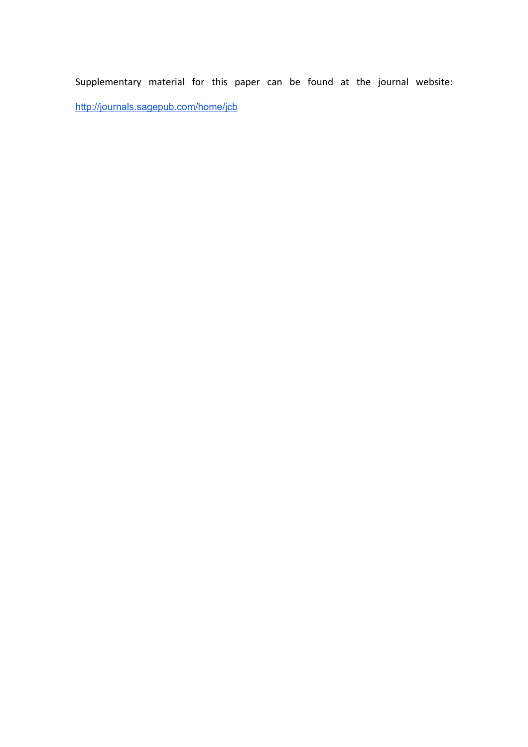Supplementary material for this paper can be found at the journal website: http://journals.sagepub.com/home/jcb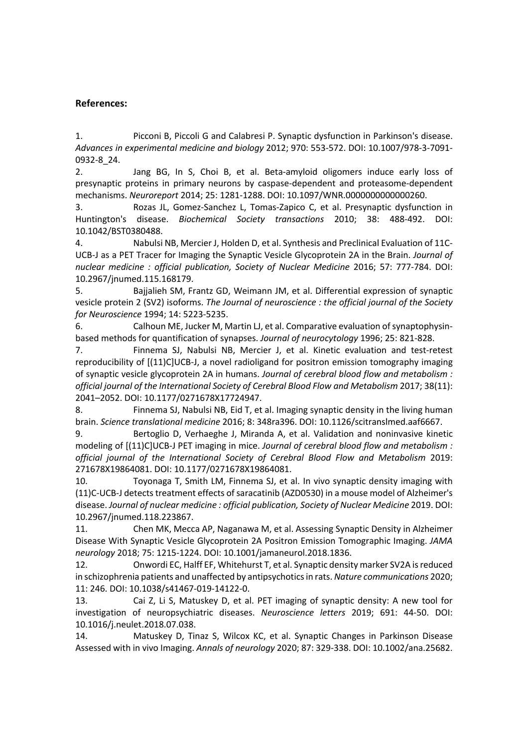# **References:**

1. Picconi B, Piccoli G and Calabresi P. Synaptic dysfunction in Parkinson's disease. *Advances in experimental medicine and biology* 2012; 970: 553-572. DOI: 10.1007/978-3-7091- 0932-8\_24.

2. Jang BG, In S, Choi B, et al. Beta-amyloid oligomers induce early loss of presynaptic proteins in primary neurons by caspase-dependent and proteasome-dependent mechanisms. *Neuroreport* 2014; 25: 1281-1288. DOI: 10.1097/WNR.0000000000000260.

3. Rozas JL, Gomez-Sanchez L, Tomas-Zapico C, et al. Presynaptic dysfunction in Huntington's disease. *Biochemical Society transactions* 2010; 38: 488-492. DOI: 10.1042/BST0380488.

4. Nabulsi NB, Mercier J, Holden D, et al. Synthesis and Preclinical Evaluation of 11C-UCB-J as a PET Tracer for Imaging the Synaptic Vesicle Glycoprotein 2A in the Brain. *Journal of nuclear medicine : official publication, Society of Nuclear Medicine* 2016; 57: 777-784. DOI: 10.2967/jnumed.115.168179.

5. Bajjalieh SM, Frantz GD, Weimann JM, et al. Differential expression of synaptic vesicle protein 2 (SV2) isoforms. *The Journal of neuroscience : the official journal of the Society for Neuroscience* 1994; 14: 5223-5235.

6. Calhoun ME, Jucker M, Martin LJ, et al. Comparative evaluation of synaptophysinbased methods for quantification of synapses. *Journal of neurocytology* 1996; 25: 821-828.

7. Finnema SJ, Nabulsi NB, Mercier J, et al. Kinetic evaluation and test-retest reproducibility of [(11)C]UCB-J, a novel radioligand for positron emission tomography imaging of synaptic vesicle glycoprotein 2A in humans. *Journal of cerebral blood flow and metabolism : official journal of the International Society of Cerebral Blood Flow and Metabolism* 2017; 38(11): 2041–2052. DOI: 10.1177/0271678X17724947.

8. Finnema SJ, Nabulsi NB, Eid T, et al. Imaging synaptic density in the living human brain. *Science translational medicine* 2016; 8: 348ra396. DOI: 10.1126/scitranslmed.aaf6667.

9. Bertoglio D, Verhaeghe J, Miranda A, et al. Validation and noninvasive kinetic modeling of [(11)C]UCB-J PET imaging in mice. *Journal of cerebral blood flow and metabolism : official journal of the International Society of Cerebral Blood Flow and Metabolism* 2019: 271678X19864081. DOI: 10.1177/0271678X19864081.

10. Toyonaga T, Smith LM, Finnema SJ, et al. In vivo synaptic density imaging with (11)C-UCB-J detects treatment effects of saracatinib (AZD0530) in a mouse model of Alzheimer's disease. *Journal of nuclear medicine : official publication, Society of Nuclear Medicine* 2019. DOI: 10.2967/jnumed.118.223867.

11. Chen MK, Mecca AP, Naganawa M, et al. Assessing Synaptic Density in Alzheimer Disease With Synaptic Vesicle Glycoprotein 2A Positron Emission Tomographic Imaging. *JAMA neurology* 2018; 75: 1215-1224. DOI: 10.1001/jamaneurol.2018.1836.

12. Onwordi EC, Halff EF, Whitehurst T, et al. Synaptic density marker SV2A is reduced in schizophrenia patients and unaffected by antipsychotics in rats. *Nature communications* 2020; 11: 246. DOI: 10.1038/s41467-019-14122-0.

13. Cai Z, Li S, Matuskey D, et al. PET imaging of synaptic density: A new tool for investigation of neuropsychiatric diseases. *Neuroscience letters* 2019; 691: 44-50. DOI: 10.1016/j.neulet.2018.07.038.

14. Matuskey D, Tinaz S, Wilcox KC, et al. Synaptic Changes in Parkinson Disease Assessed with in vivo Imaging. *Annals of neurology* 2020; 87: 329-338. DOI: 10.1002/ana.25682.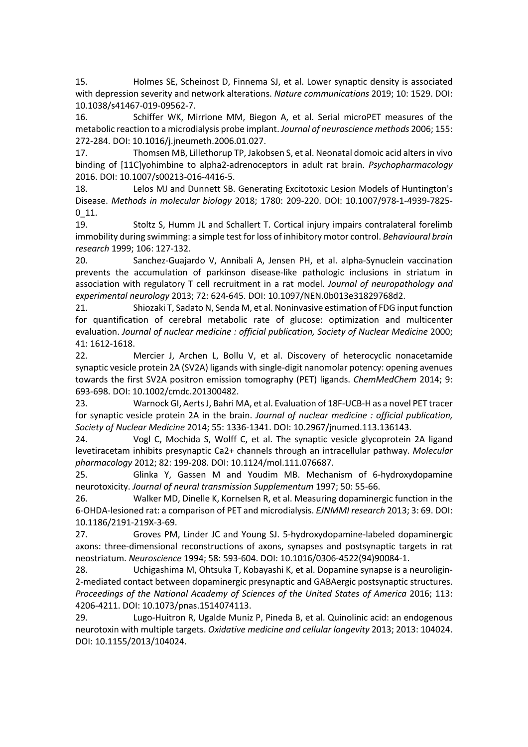15. Holmes SE, Scheinost D, Finnema SJ, et al. Lower synaptic density is associated with depression severity and network alterations. *Nature communications* 2019; 10: 1529. DOI: 10.1038/s41467-019-09562-7.

16. Schiffer WK, Mirrione MM, Biegon A, et al. Serial microPET measures of the metabolic reaction to a microdialysis probe implant. *Journal of neuroscience methods* 2006; 155: 272-284. DOI: 10.1016/j.jneumeth.2006.01.027.

17. Thomsen MB, Lillethorup TP, Jakobsen S, et al. Neonatal domoic acid alters in vivo binding of [11C]yohimbine to alpha2-adrenoceptors in adult rat brain. *Psychopharmacology* 2016. DOI: 10.1007/s00213-016-4416-5.

18. Lelos MJ and Dunnett SB. Generating Excitotoxic Lesion Models of Huntington's Disease. *Methods in molecular biology* 2018; 1780: 209-220. DOI: 10.1007/978-1-4939-7825-  $0_11.$ 

19. Stoltz S, Humm JL and Schallert T. Cortical injury impairs contralateral forelimb immobility during swimming: a simple test for loss of inhibitory motor control. *Behavioural brain research* 1999; 106: 127-132.

20. Sanchez-Guajardo V, Annibali A, Jensen PH, et al. alpha-Synuclein vaccination prevents the accumulation of parkinson disease-like pathologic inclusions in striatum in association with regulatory T cell recruitment in a rat model. *Journal of neuropathology and experimental neurology* 2013; 72: 624-645. DOI: 10.1097/NEN.0b013e31829768d2.

21. Shiozaki T, Sadato N, Senda M, et al. Noninvasive estimation of FDG input function for quantification of cerebral metabolic rate of glucose: optimization and multicenter evaluation. *Journal of nuclear medicine : official publication, Society of Nuclear Medicine* 2000; 41: 1612-1618.

22. Mercier J, Archen L, Bollu V, et al. Discovery of heterocyclic nonacetamide synaptic vesicle protein 2A (SV2A) ligands with single-digit nanomolar potency: opening avenues towards the first SV2A positron emission tomography (PET) ligands. *ChemMedChem* 2014; 9: 693-698. DOI: 10.1002/cmdc.201300482.

23. Warnock GI, Aerts J, Bahri MA, et al. Evaluation of 18F-UCB-H as a novel PET tracer for synaptic vesicle protein 2A in the brain. *Journal of nuclear medicine : official publication, Society of Nuclear Medicine* 2014; 55: 1336-1341. DOI: 10.2967/jnumed.113.136143.

24. Vogl C, Mochida S, Wolff C, et al. The synaptic vesicle glycoprotein 2A ligand levetiracetam inhibits presynaptic Ca2+ channels through an intracellular pathway. *Molecular pharmacology* 2012; 82: 199-208. DOI: 10.1124/mol.111.076687.

25. Glinka Y, Gassen M and Youdim MB. Mechanism of 6-hydroxydopamine neurotoxicity. *Journal of neural transmission Supplementum* 1997; 50: 55-66.

26. Walker MD, Dinelle K, Kornelsen R, et al. Measuring dopaminergic function in the 6-OHDA-lesioned rat: a comparison of PET and microdialysis. *EJNMMI research* 2013; 3: 69. DOI: 10.1186/2191-219X-3-69.

27. Groves PM, Linder JC and Young SJ. 5-hydroxydopamine-labeled dopaminergic axons: three-dimensional reconstructions of axons, synapses and postsynaptic targets in rat neostriatum. *Neuroscience* 1994; 58: 593-604. DOI: 10.1016/0306-4522(94)90084-1.

28. Uchigashima M, Ohtsuka T, Kobayashi K, et al. Dopamine synapse is a neuroligin-2-mediated contact between dopaminergic presynaptic and GABAergic postsynaptic structures. *Proceedings of the National Academy of Sciences of the United States of America* 2016; 113: 4206-4211. DOI: 10.1073/pnas.1514074113.

29. Lugo-Huitron R, Ugalde Muniz P, Pineda B, et al. Quinolinic acid: an endogenous neurotoxin with multiple targets. *Oxidative medicine and cellular longevity* 2013; 2013: 104024. DOI: 10.1155/2013/104024.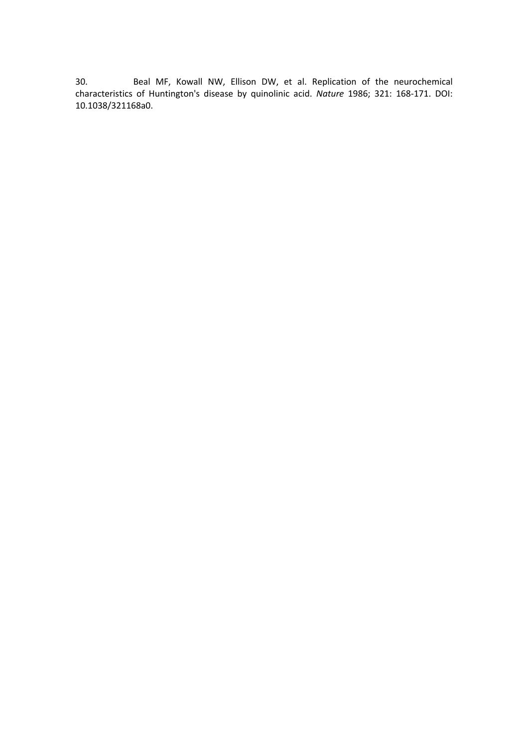30. Beal MF, Kowall NW, Ellison DW, et al. Replication of the neurochemical characteristics of Huntington's disease by quinolinic acid. *Nature* 1986; 321: 168-171. DOI: 10.1038/321168a0.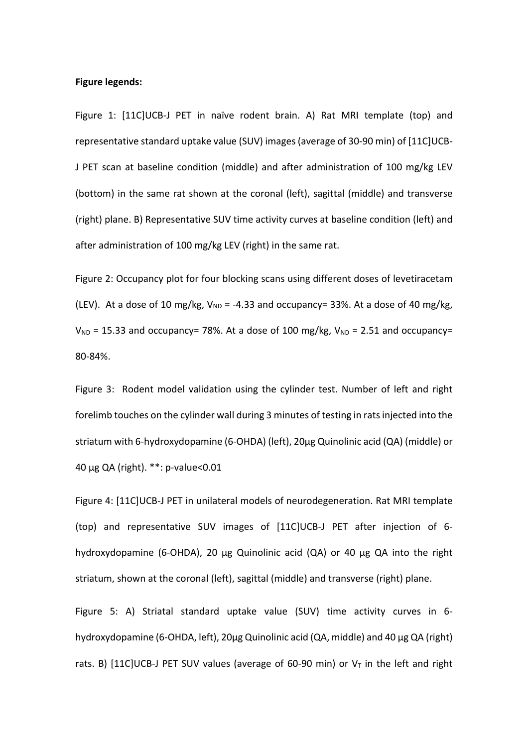### **Figure legends:**

Figure 1: [11C]UCB-J PET in naïve rodent brain. A) Rat MRI template (top) and representative standard uptake value (SUV) images (average of 30-90 min) of [11C]UCB-J PET scan at baseline condition (middle) and after administration of 100 mg/kg LEV (bottom) in the same rat shown at the coronal (left), sagittal (middle) and transverse (right) plane. B) Representative SUV time activity curves at baseline condition (left) and after administration of 100 mg/kg LEV (right) in the same rat.

Figure 2: Occupancy plot for four blocking scans using different doses of levetiracetam (LEV). At a dose of 10 mg/kg,  $V_{ND}$  = -4.33 and occupancy= 33%. At a dose of 40 mg/kg,  $V_{ND}$  = 15.33 and occupancy= 78%. At a dose of 100 mg/kg,  $V_{ND}$  = 2.51 and occupancy= 80-84%.

Figure 3: Rodent model validation using the cylinder test. Number of left and right forelimb touches on the cylinder wall during 3 minutes of testing in rats injected into the striatum with 6-hydroxydopamine (6-OHDA) (left), 20µg Quinolinic acid (QA) (middle) or 40 µg QA (right). \*\*: p-value<0.01

Figure 4: [11C]UCB-J PET in unilateral models of neurodegeneration. Rat MRI template (top) and representative SUV images of [11C]UCB-J PET after injection of 6 hydroxydopamine (6-OHDA), 20 µg Quinolinic acid (QA) or 40 µg QA into the right striatum, shown at the coronal (left), sagittal (middle) and transverse (right) plane.

Figure 5: A) Striatal standard uptake value (SUV) time activity curves in 6 hydroxydopamine (6-OHDA, left), 20µg Quinolinic acid (QA, middle) and 40 µg QA (right) rats. B)  $[11C]UCB-J PET SUV$  values (average of 60-90 min) or  $V<sub>T</sub>$  in the left and right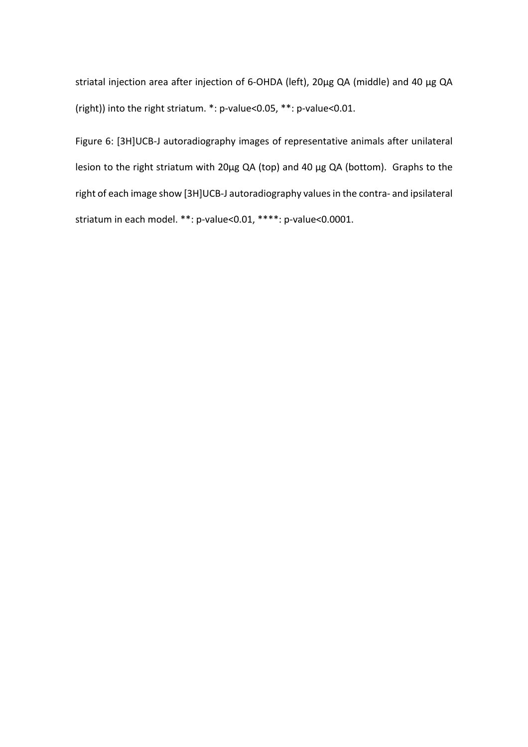striatal injection area after injection of 6-OHDA (left), 20µg QA (middle) and 40 µg QA (right)) into the right striatum. \*: p-value<0.05, \*\*: p-value<0.01.

Figure 6: [3H]UCB-J autoradiography images of representative animals after unilateral lesion to the right striatum with 20µg QA (top) and 40 µg QA (bottom). Graphs to the right of each image show [3H]UCB-J autoradiography values in the contra- and ipsilateral striatum in each model. \*\*: p-value<0.01, \*\*\*\*: p-value<0.0001.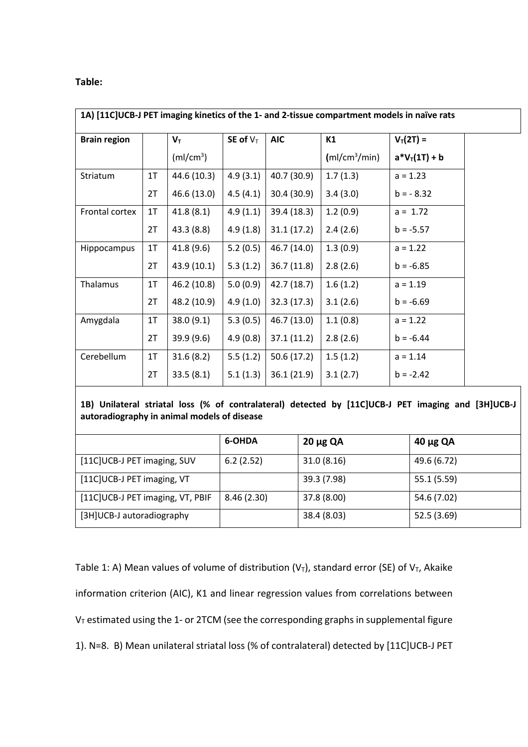# **Table:**

| 1A) [11C]UCB-J PET imaging kinetics of the 1- and 2-tissue compartment models in naïve rats |                |                       |             |             |                           |                  |  |
|---------------------------------------------------------------------------------------------|----------------|-----------------------|-------------|-------------|---------------------------|------------------|--|
| <b>Brain region</b>                                                                         |                | $V_T$                 | SE of $V_T$ | <b>AIC</b>  | K1                        | $V_T(2T) =$      |  |
|                                                                                             |                | (mI/cm <sup>3</sup> ) |             |             | (mI/cm <sup>3</sup> /min) | $a^*V_T(1T) + b$ |  |
| Striatum                                                                                    | 1T             | 44.6 (10.3)           | 4.9(3.1)    | 40.7 (30.9) | 1.7(1.3)                  | $a = 1.23$       |  |
|                                                                                             | 2T             | 46.6 (13.0)           | 4.5(4.1)    | 30.4 (30.9) | 3.4(3.0)                  | $b = -8.32$      |  |
| Frontal cortex                                                                              | 1T             | 41.8(8.1)             | 4.9(1.1)    | 39.4 (18.3) | 1.2(0.9)                  | $a = 1.72$       |  |
|                                                                                             | 2T             | 43.3(8.8)             | 4.9(1.8)    | 31.1(17.2)  | 2.4(2.6)                  | $b = -5.57$      |  |
| Hippocampus                                                                                 | 1 <sub>T</sub> | 41.8(9.6)             | 5.2(0.5)    | 46.7 (14.0) | 1.3(0.9)                  | $a = 1.22$       |  |
|                                                                                             | 2T             | 43.9 (10.1)           | 5.3(1.2)    | 36.7(11.8)  | 2.8(2.6)                  | $b = -6.85$      |  |
| Thalamus                                                                                    | 1T             | 46.2 (10.8)           | 5.0(0.9)    | 42.7(18.7)  | 1.6(1.2)                  | $a = 1.19$       |  |
|                                                                                             | 2T             | 48.2 (10.9)           | 4.9(1.0)    | 32.3(17.3)  | 3.1(2.6)                  | $b = -6.69$      |  |
| Amygdala                                                                                    | 1T             | 38.0(9.1)             | 5.3(0.5)    | 46.7 (13.0) | 1.1(0.8)                  | $a = 1.22$       |  |
|                                                                                             | 2T             | 39.9 (9.6)            | 4.9(0.8)    | 37.1(11.2)  | 2.8(2.6)                  | $b = -6.44$      |  |
| Cerebellum                                                                                  | 1T             | 31.6(8.2)             | 5.5(1.2)    | 50.6(17.2)  | 1.5(1.2)                  | $a = 1.14$       |  |
|                                                                                             | 2T             | 33.5(8.1)             | 5.1(1.3)    | 36.1(21.9)  | 3.1(2.7)                  | $b = -2.42$      |  |

**1B) Unilateral striatal loss (% of contralateral) detected by [11C]UCB-J PET imaging and [3H]UCB-J autoradiography in animal models of disease**

|                                  | 6-OHDA     | $20 \mu g$ QA | $40 \mu g$ QA |  |  |
|----------------------------------|------------|---------------|---------------|--|--|
| [11C]UCB-J PET imaging, SUV      | 6.2(2.52)  | 31.0(8.16)    | 49.6 (6.72)   |  |  |
| [11C]UCB-J PET imaging, VT       |            | 39.3 (7.98)   | 55.1 (5.59)   |  |  |
| [11C]UCB-J PET imaging, VT, PBIF | 8.46(2.30) | 37.8 (8.00)   | 54.6 (7.02)   |  |  |
| [3H]UCB-J autoradiography        |            | 38.4 (8.03)   | 52.5 (3.69)   |  |  |

Table 1: A) Mean values of volume of distribution ( $V_T$ ), standard error (SE) of  $V_T$ , Akaike information criterion (AIC), K1 and linear regression values from correlations between  $V<sub>T</sub>$  estimated using the 1- or 2TCM (see the corresponding graphs in supplemental figure 1). N=8. B) Mean unilateral striatal loss (% of contralateral) detected by [11C]UCB-J PET